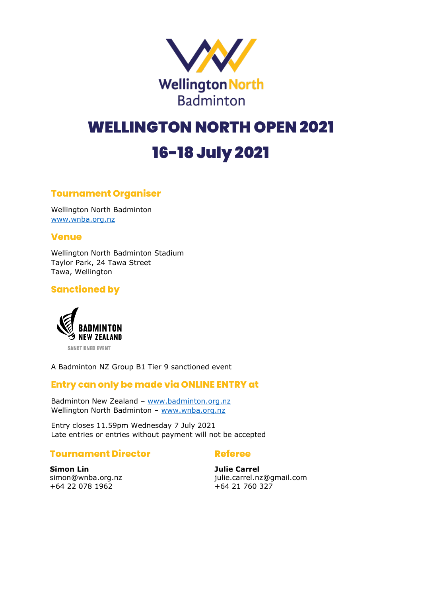

# WELLINGTON NORTH OPEN 2021 16-18 July 2021

# **Tournament Organiser**

Wellington North Badminton [www.wnba.org.nz](http://www.wnba.org.nz/)

### **Venue**

Wellington North Badminton Stadium Taylor Park, 24 Tawa Street Tawa, Wellington

### **Sanctioned by**



A Badminton NZ Group B1 Tier 9 sanctioned event

### **Entry can only be made via ONLINE ENTRY at**

Badminton New Zealand – [www.badminton.org.nz](http://www.badminton.org.nz/) Wellington North Badminton - [www.wnba.org.nz](http://www.wnba.org.nz/)

Entry closes 11.59pm Wednesday 7 July 2021 Late entries or entries without payment will not be accepted

### **Tournament Director**

### **Referee**

**Simon Lin** simon@wnba.org.nz +64 22 078 1962

**Julie Carrel** julie.carrel.nz@gmail.com  $+64$  21 760 327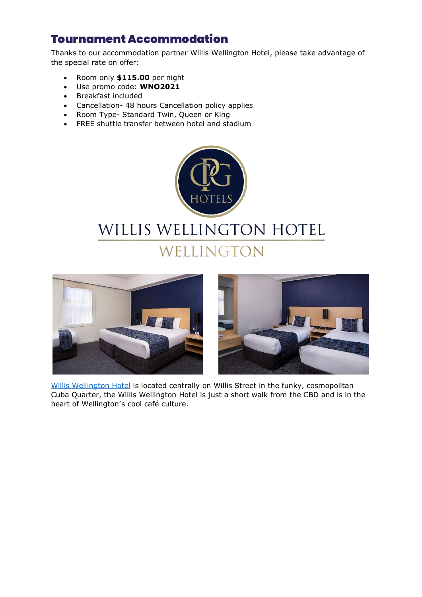# Tournament Accommodation

Thanks to our accommodation partner Willis Wellington Hotel, please take advantage of the special rate on offer:

- Room only **\$115.00** per night
- Use promo code: **WNO2021**
- Breakfast included
- Cancellation- 48 hours Cancellation policy applies
- Room Type- Standard Twin, Queen or King
- FREE shuttle transfer between hotel and stadium







[Willis Wellington Hotel](https://www.cpghotels.com/our-hotels/willis-wellington-hotel/) is located centrally on Willis Street in the funky, cosmopolitan Cuba Quarter, the Willis Wellington Hotel is just a short walk from the CBD and is in the heart of Wellington's cool café culture.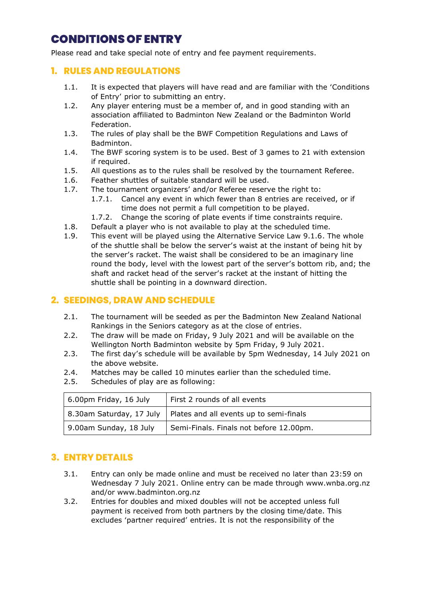# CONDITIONS OF ENTRY

Please read and take special note of entry and fee payment requirements.

### **1. RULES AND REGULATIONS**

- 1.1. It is expected that players will have read and are familiar with the 'Conditions of Entry' prior to submitting an entry.
- 1.2. Any player entering must be a member of, and in good standing with an association affiliated to Badminton New Zealand or the Badminton World Federation.
- 1.3. The rules of play shall be the BWF Competition Regulations and Laws of Badminton.
- 1.4. The BWF scoring system is to be used. Best of 3 games to 21 with extension if required.
- 1.5. All questions as to the rules shall be resolved by the tournament Referee.
- 1.6. Feather shuttles of suitable standard will be used.
- 1.7. The tournament organizers' and/or Referee reserve the right to:
	- 1.7.1. Cancel any event in which fewer than 8 entries are received, or if time does not permit a full competition to be played.
	- 1.7.2. Change the scoring of plate events if time constraints require.
- 1.8. Default a player who is not available to play at the scheduled time.
- 1.9. This event will be played using the Alternative Service Law 9.1.6. The whole of the shuttle shall be below the server's waist at the instant of being hit by the server's racket. The waist shall be considered to be an imaginary line round the body, level with the lowest part of the server's bottom rib, and; the shaft and racket head of the server's racket at the instant of hitting the shuttle shall be pointing in a downward direction.

### **2. SEEDINGS, DRAW AND SCHEDULE**

- 2.1. The tournament will be seeded as per the Badminton New Zealand National Rankings in the Seniors category as at the close of entries.
- 2.2. The draw will be made on Friday, 9 July 2021 and will be available on the Wellington North Badminton website by 5pm Friday, 9 July 2021.
- 2.3. The first day's schedule will be available by 5pm Wednesday, 14 July 2021 on the above website.
- 2.4. Matches may be called 10 minutes earlier than the scheduled time.
- 2.5. Schedules of play are as following:

| 6.00pm Friday, 16 July | First 2 rounds of all events                                       |  |
|------------------------|--------------------------------------------------------------------|--|
|                        | 8.30am Saturday, 17 July   Plates and all events up to semi-finals |  |
| 9.00am Sunday, 18 July | Semi-Finals. Finals not before 12.00pm.                            |  |

### **3. ENTRY DETAILS**

- 3.1. Entry can only be made online and must be received no later than 23:59 on Wednesday 7 July 2021. Online entry can be made through www.wnba.org.nz and/or www.badminton.org.nz
- 3.2. Entries for doubles and mixed doubles will not be accepted unless full payment is received from both partners by the closing time/date. This excludes 'partner required' entries. It is not the responsibility of the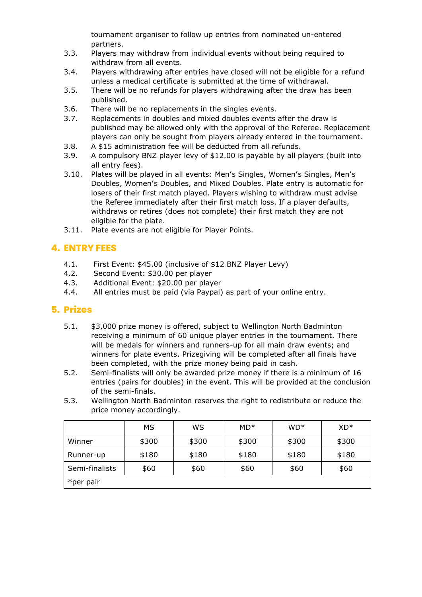tournament organiser to follow up entries from nominated un-entered partners.

- 3.3. Players may withdraw from individual events without being required to withdraw from all events.
- 3.4. Players withdrawing after entries have closed will not be eligible for a refund unless a medical certificate is submitted at the time of withdrawal.
- 3.5. There will be no refunds for players withdrawing after the draw has been published.
- 3.6. There will be no replacements in the singles events.
- 3.7. Replacements in doubles and mixed doubles events after the draw is published may be allowed only with the approval of the Referee. Replacement players can only be sought from players already entered in the tournament.
- 3.8. A \$15 administration fee will be deducted from all refunds.
- 3.9. A compulsory BNZ player levy of \$12.00 is payable by all players (built into all entry fees).
- 3.10. Plates will be played in all events: Men's Singles, Women's Singles, Men's Doubles, Women's Doubles, and Mixed Doubles. Plate entry is automatic for losers of their first match played. Players wishing to withdraw must advise the Referee immediately after their first match loss. If a player defaults, withdraws or retires (does not complete) their first match they are not eligible for the plate.
- 3.11. Plate events are not eligible for Player Points.

# **4. ENTRY FEES**

- 4.1. First Event: \$45.00 (inclusive of \$12 BNZ Player Levy)
- 4.2. Second Event: \$30.00 per player
- 4.3. Additional Event: \$20.00 per player
- 4.4. All entries must be paid (via Paypal) as part of your online entry.

### **5. Prizes**

- 5.1. \$3,000 prize money is offered, subject to Wellington North Badminton receiving a minimum of 60 unique player entries in the tournament. There will be medals for winners and runners-up for all main draw events; and winners for plate events. Prizegiving will be completed after all finals have been completed, with the prize money being paid in cash.
- 5.2. Semi-finalists will only be awarded prize money if there is a minimum of 16 entries (pairs for doubles) in the event. This will be provided at the conclusion of the semi-finals.
- 5.3. Wellington North Badminton reserves the right to redistribute or reduce the price money accordingly.

|                | <b>MS</b> | WS    | $MD*$ | $WD*$ | $XD*$ |
|----------------|-----------|-------|-------|-------|-------|
| Winner         | \$300     | \$300 | \$300 | \$300 | \$300 |
| Runner-up      | \$180     | \$180 | \$180 | \$180 | \$180 |
| Semi-finalists | \$60      | \$60  | \$60  | \$60  | \$60  |
| *per pair      |           |       |       |       |       |